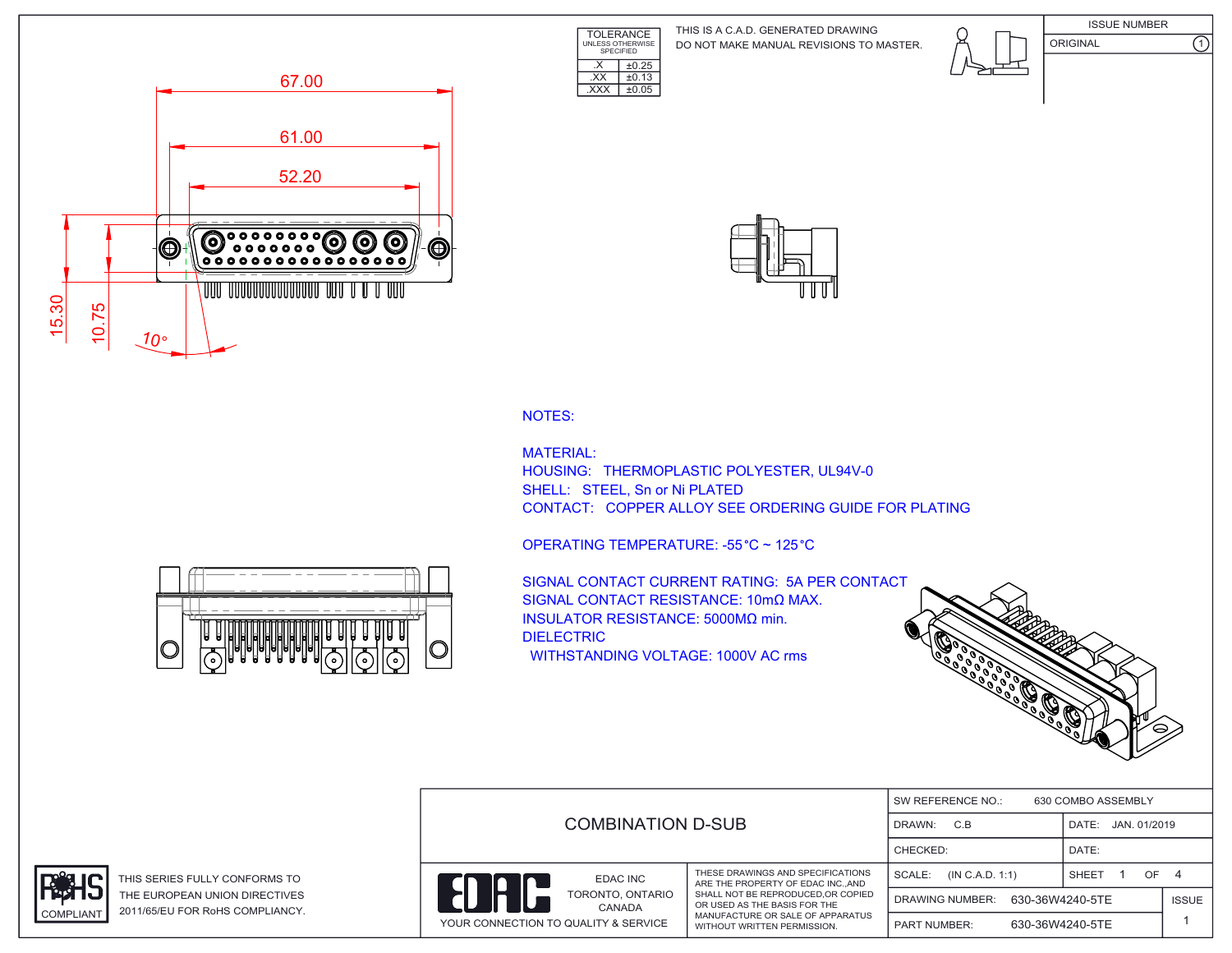TOLERANCE UNLESS OTHERWISE SPECIFIED DO NOT MAKE MANUAL REVISIONS TO MASTER. THIS IS A C.A.D. GENERATED DRAWING



ISSUE NUMBER ORIGINAL (1)





NOTES:

MATERIAL: HOUSING: THERMOPLASTIC POLYESTER, UL94V-0 SHELL: STEEL, Sn or Ni PLATED CONTACT: COPPER ALLOY SEE ORDERING GUIDE FOR PLATING

OPERATING TEMPERATURE: -55 °C ~ 125 °C

 $\overline{\text{EXX}}$   $\pm 0.13$ .XXX ±0.05

 $\overline{\text{X}}$   $\overline{\text{+0.25}}$ 

IC

SIGNAL CONTACT CURRENT RATING: 5A PER CONTACT SIGNAL CONTACT RESISTANCE: 10mΩ MAX. INSULATOR RESISTANCE: 5000MΩ min. DIELECTRIC WITHSTANDING VOLTAGE: 1000V AC rms



|  |                                                                                      |                                                                                                                                      | SW REFERENCE NO.:<br>630 COMBO ASSEMBLY |                 |              |  |
|--|--------------------------------------------------------------------------------------|--------------------------------------------------------------------------------------------------------------------------------------|-----------------------------------------|-----------------|--------------|--|
|  | COMBINATION D-SUB                                                                    | C.B<br>DRAWN:                                                                                                                        | JAN. 01/2019<br>DATE:                   |                 |              |  |
|  |                                                                                      |                                                                                                                                      | CHECKED:                                | DATE:           |              |  |
|  | EDAC INC<br>IC<br>TORONTO, ONTARIO<br>CANADA<br>YOUR CONNECTION TO QUALITY & SERVICE | THESE DRAWINGS AND SPECIFICATIONS<br>ARE THE PROPERTY OF EDAC INC., AND                                                              | SCALE:<br>(IN C.A.D. 1:1)               | SHEET<br>OF.    | 4            |  |
|  |                                                                                      | SHALL NOT BE REPRODUCED.OR COPIED<br>OR USED AS THE BASIS FOR THE<br>MANUFACTURE OR SALE OF APPARATUS<br>WITHOUT WRITTEN PERMISSION. | 630-36W4240-5TE<br>DRAWING NUMBER:      |                 | <b>ISSUE</b> |  |
|  |                                                                                      |                                                                                                                                      | <b>PART NUMBER:</b>                     | 630-36W4240-5TE |              |  |



THIS SERIES FULLY CONFORMS TO THE EUROPEAN UNION DIRECTIVES COMPLIANT 2011/65/EU FOR RoHS COMPLIANCY.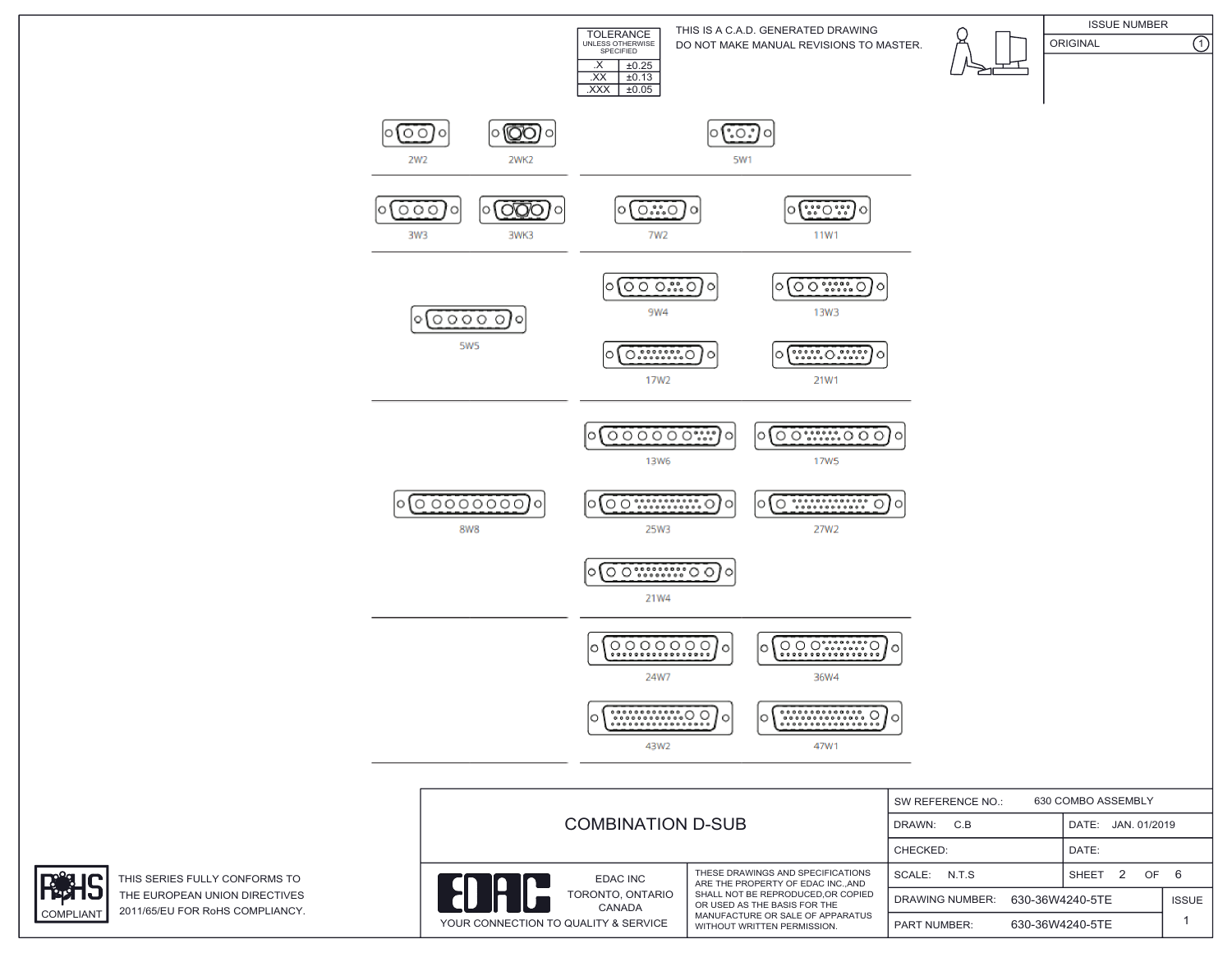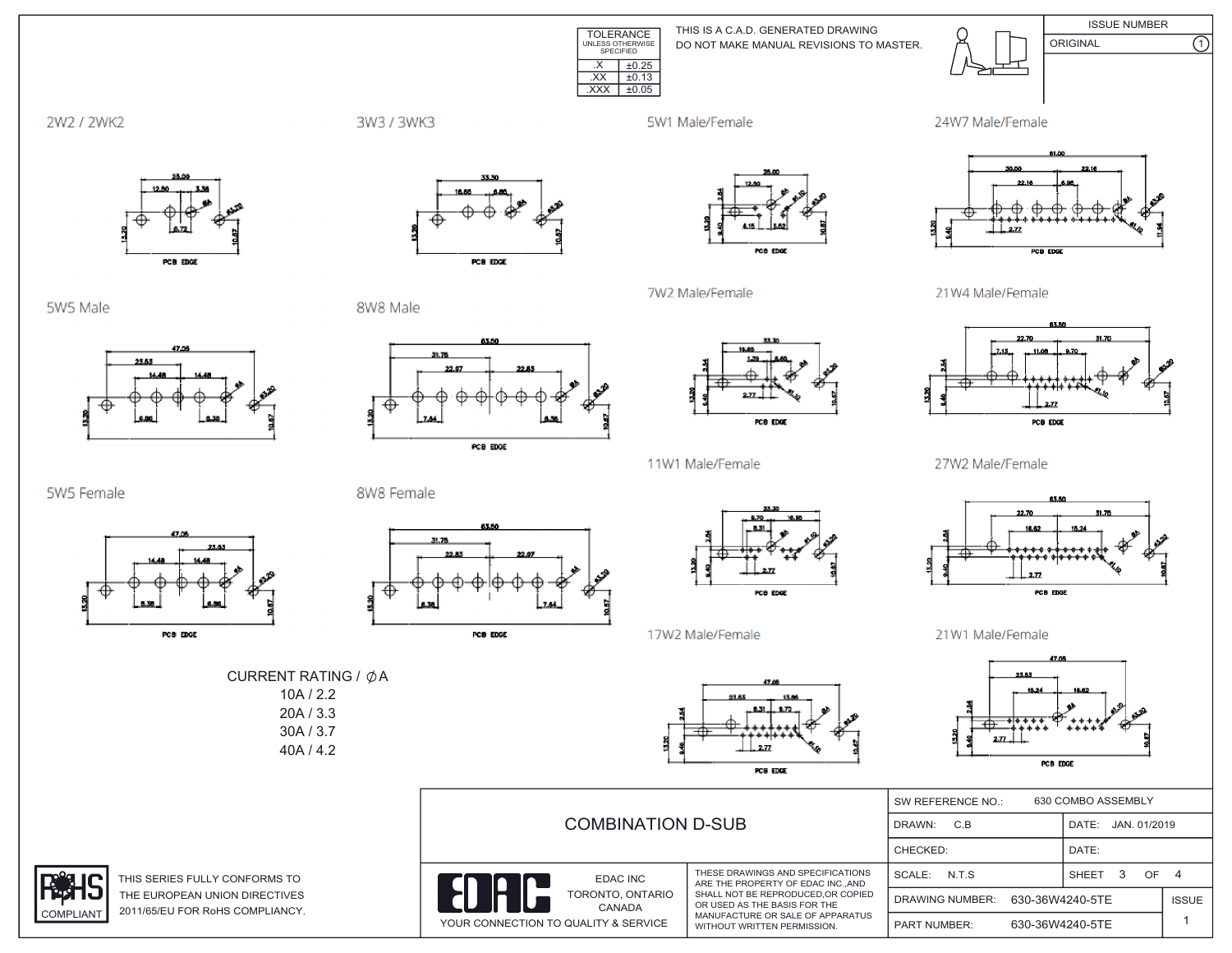

DO NOT MAKE MANUAL REVISIONS TO MASTER. THIS IS A C.A.D. GENERATED DRAWING



ISSUE NUMBER ORIGINAL (1)



3W3 / 3WK3

5W1 Male/Female

7W2 Male/Female





5W5 Male



PCB EDGE

8W8 Male



PCB EDGE



POB EDGE

11W1 Male/Female

21W4 Male/Female



27W2 Male/Female



21W1 Male/Female



|                            | <b>COMBINATION D-SUB</b>                                                              |                                                                                                                                                                                                               | 630 COMBO ASSEMBLY<br>SW REFERENCE NO.:   |                       |              |
|----------------------------|---------------------------------------------------------------------------------------|---------------------------------------------------------------------------------------------------------------------------------------------------------------------------------------------------------------|-------------------------------------------|-----------------------|--------------|
|                            |                                                                                       |                                                                                                                                                                                                               | C.B<br>DRAWN:                             | JAN. 01/2019<br>DATE: |              |
|                            |                                                                                       |                                                                                                                                                                                                               | CHECKED:                                  | DATE:                 |              |
| RMS TO                     | <b>EDAC INC</b><br>TORONTO, ONTARIO<br>CANADA<br>YOUR CONNECTION TO QUALITY & SERVICE | THESE DRAWINGS AND SPECIFICATIONS<br>ARE THE PROPERTY OF EDAC INCAND<br>SHALL NOT BE REPRODUCED, OR COPIED<br>OR USED AS THE BASIS FOR THE<br>MANUFACTURE OR SALE OF APPARATUS<br>WITHOUT WRITTEN PERMISSION. | N.T.S<br>SCALE:                           | <b>SHEET</b><br>OF.   |              |
| <b>ECTIVES</b><br>PLIANCY. |                                                                                       |                                                                                                                                                                                                               | 630-36W4240-5TE<br><b>DRAWING NUMBER:</b> |                       | <b>ISSUE</b> |
|                            |                                                                                       |                                                                                                                                                                                                               | <b>PART NUMBER:</b>                       | 630-36W4240-5TE       |              |











17W2 Male/Female



PCB EDGE

THIS SERIES FULLY CONFO THE EUROPEAN UNION DIRI COMPLIANT 2011/65/EU FOR RoHS COMP



CURRENT RATING /  $\phi$ A 10A / 2.2 20A / 3.3 30A / 3.7 40A / 4.2